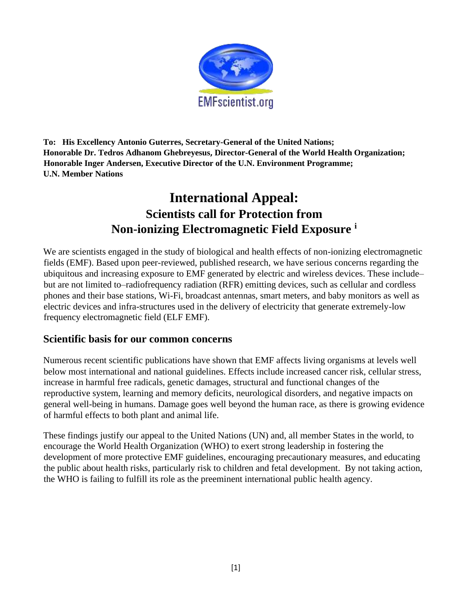

**To: His Excellency Antonio Guterres, Secretary-General of the United Nations; Honorable Dr. Tedros Adhanom Ghebreyesus, Director-General of the World Health Organization; Honorable Inger Andersen, Executive Director of the U.N. Environment Programme; U.N. Member Nations** 

# **International Appeal: Scientists call for Protection from Non-ionizing Electromagnetic Field Exposure <sup>i</sup>**

We are scientists engaged in the study of biological and health effects of non-ionizing electromagnetic fields (EMF). Based upon peer-reviewed, published research, we have serious concerns regarding the ubiquitous and increasing exposure to EMF generated by electric and wireless devices. These include– but are not limited to–radiofrequency radiation (RFR) emitting devices, such as cellular and cordless phones and their base stations, Wi-Fi, broadcast antennas, smart meters, and baby monitors as well as electric devices and infra-structures used in the delivery of electricity that generate extremely-low frequency electromagnetic field (ELF EMF).

# **Scientific basis for our common concerns**

Numerous recent scientific publications have shown that EMF affects living organisms at levels well below most international and national guidelines. Effects include increased cancer risk, cellular stress, increase in harmful free radicals, genetic damages, structural and functional changes of the reproductive system, learning and memory deficits, neurological disorders, and negative impacts on general well-being in humans. Damage goes well beyond the human race, as there is growing evidence of harmful effects to both plant and animal life.

These findings justify our appeal to the United Nations (UN) and, all member States in the world, to encourage the World Health Organization (WHO) to exert strong leadership in fostering the development of more protective EMF guidelines, encouraging precautionary measures, and educating the public about health risks, particularly risk to children and fetal development. By not taking action, the WHO is failing to fulfill its role as the preeminent international public health agency.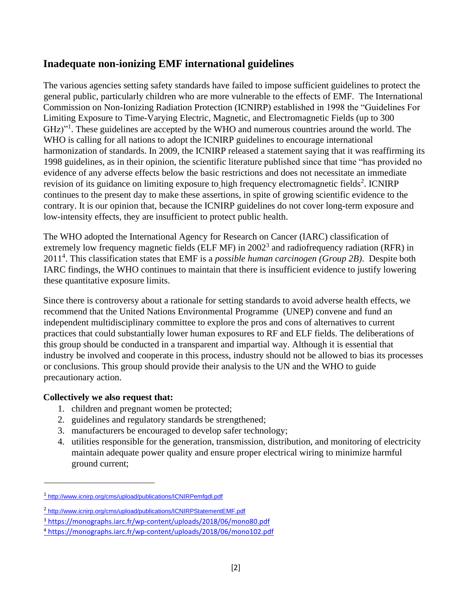# **Inadequate non-ionizing EMF international guidelines**

The various agencies setting safety standards have failed to impose sufficient guidelines to protect the general public, particularly children who are more vulnerable to the effects of EMF. The International Commission on Non-Ionizing Radiation Protection (ICNIRP) established in 1998 the "Guidelines For Limiting Exposure to Time-Varying Electric, Magnetic, and Electromagnetic Fields (up to 300 GHz)"<sup>1</sup>. These guidelines are accepted by the WHO and numerous countries around the world. The WHO is calling for all nations to adopt the ICNIRP guidelines to encourage international harmonization of standards. In 2009, the ICNIRP released a statement saying that it was reaffirming its 1998 guidelines, as in their opinion, the scientific literature published since that time "has provided no evidence of any adverse effects below the basic restrictions and does not necessitate an immediate revision of its guidance on limiting exposure to high frequency electromagnetic fields<sup>2</sup>. ICNIRP continues to the present day to make these assertions, in spite of growing scientific evidence to the contrary. It is our opinion that, because the ICNIRP guidelines do not cover long-term exposure and low-intensity effects, they are insufficient to protect public health.

The WHO adopted the International Agency for Research on Cancer (IARC) classification of extremely low frequency magnetic fields (ELF MF) in 2002<sup>3</sup> and radiofrequency radiation (RFR) in 2011<sup>4</sup> . This classification states that EMF is a *possible human carcinogen (Group 2B)*. Despite both IARC findings, the WHO continues to maintain that there is insufficient evidence to justify lowering these quantitative exposure limits.

Since there is controversy about a rationale for setting standards to avoid adverse health effects, we recommend that the United Nations Environmental Programme (UNEP) convene and fund an independent multidisciplinary committee to explore the pros and cons of alternatives to current practices that could substantially lower human exposures to RF and ELF fields. The deliberations of this group should be conducted in a transparent and impartial way. Although it is essential that industry be involved and cooperate in this process, industry should not be allowed to bias its processes or conclusions. This group should provide their analysis to the UN and the WHO to guide precautionary action.

# **Collectively we also request that:**

- 1. children and pregnant women be protected;
- 2. guidelines and regulatory standards be strengthened;
- 3. manufacturers be encouraged to develop safer technology;
- 4. utilities responsible for the generation, transmission, distribution, and monitoring of electricity maintain adequate power quality and ensure proper electrical wiring to minimize harmful ground current;

<sup>1</sup> <http://www.icnirp.org/cms/upload/publications/ICNIRPemfgdl.pdf>

<sup>&</sup>lt;sup>2</sup> <http://www.icnirp.org/cms/upload/publications/ICNIRPStatementEMF.pdf>

<sup>3</sup> <https://monographs.iarc.fr/wp-content/uploads/2018/06/mono80.pdf>

<sup>4</sup> <https://monographs.iarc.fr/wp-content/uploads/2018/06/mono102.pdf>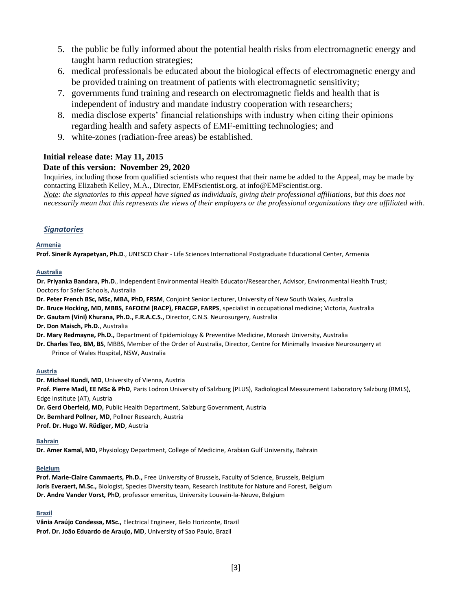- 5. the public be fully informed about the potential health risks from electromagnetic energy and taught harm reduction strategies;
- 6. medical professionals be educated about the biological effects of electromagnetic energy and be provided training on treatment of patients with electromagnetic sensitivity;
- 7. governments fund training and research on electromagnetic fields and health that is independent of industry and mandate industry cooperation with researchers;
- 8. media disclose experts' financial relationships with industry when citing their opinions regarding health and safety aspects of EMF-emitting technologies; and
- 9. white-zones (radiation-free areas) be established.

## **Initial release date: May 11, 2015**

### **Date of this version: November 29, 2020**

Inquiries, including those from qualified scientists who request that their name be added to the Appeal, may be made by contacting Elizabeth Kelley, M.A., Director, EMFscientist.org, at info@EMFscientist.org.

*Note: the signatories to this appeal have signed as individuals, giving their professional affiliations, but this does not necessarily mean that this represents the views of their employers or the professional organizations they are affiliated with.*

### *Signatories*

#### **Armenia**

**Prof. Sinerik Ayrapetyan, Ph.D**., UNESCO Chair - Life Sciences International Postgraduate Educational Center, Armenia

#### **Australia**

**Dr. Priyanka Bandara, Ph.D.**, Independent Environmental Health Educator/Researcher, Advisor, Environmental Health Trust; Doctors for Safer Schools, Australia

**Dr. Peter French BSc, MSc, MBA, PhD, FRSM**, Conjoint Senior Lecturer, University of New South Wales, Australia

- **Dr. Bruce Hocking, MD, MBBS, FAFOEM (RACP), FRACGP, FARPS**, specialist in occupational medicine; Victoria, Australia
- **Dr. Gautam (Vini) Khurana, Ph.D., F.R.A.C.S.,** Director, C.N.S. Neurosurgery, Australia

**Dr. Don Maisch, Ph.D.**, Australia

**Dr. Mary Redmayne, Ph.D.,** Department of Epidemiology & Preventive Medicine, Monash University, Australia

**Dr. Charles Teo, BM, BS**, MBBS, Member of the Order of Australia, Director, Centre for Minimally Invasive Neurosurgery at Prince of Wales Hospital, NSW, Australia

#### **Austria**

**Dr. Michael Kundi, MD**, University of Vienna, Austria **Prof. Pierre Madl, EE MSc & PhD**, Paris Lodron University of Salzburg (PLUS), Radiological Measurement Laboratory Salzburg (RMLS), Edge Institute (AT), Austria **Dr. Gerd Oberfeld, MD,** Public Health Department, Salzburg Government, Austria **Dr. Bernhard Pollner, MD**, Pollner Research, Austria

**Prof. Dr. Hugo W. Rüdiger, MD**, Austria

#### **Bahrain**

**Dr. Amer Kamal, MD,** Physiology Department, College of Medicine, Arabian Gulf University, Bahrain

#### **Belgium**

**Prof. Marie-Claire Cammaerts, Ph.D.,** Free University of Brussels, Faculty of Science, Brussels, Belgium **Joris Everaert, M.Sc.,** Biologist, Species Diversity team, Research Institute for Nature and Forest, Belgium **Dr. Andre Vander Vorst, PhD**, professor emeritus, University Louvain-la-Neuve, Belgium

#### **Brazil**

**Vânia Araújo Condessa, MSc.,** Electrical Engineer, Belo Horizonte, Brazil **Prof. Dr. João Eduardo de Araujo, MD**, University of Sao Paulo, Brazil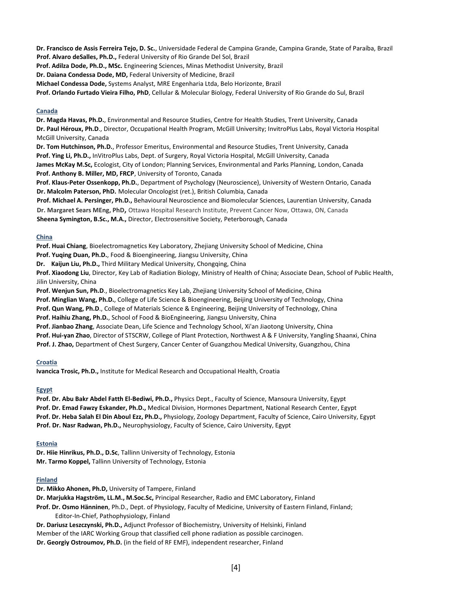**Dr. Francisco de Assis Ferreira Tejo, D. Sc.**, Universidade Federal de Campina Grande, Campina Grande, State of Paraíba, Brazil **Prof. Alvaro deSalles, Ph.D.,** Federal University of Rio Grande Del Sol, Brazil

**Prof. Adilza Dode, Ph.D., MSc.** Engineering Sciences, Minas Methodist University, Brazil

**Dr. Daiana Condessa Dode, MD,** Federal University of Medicine, Brazil

**Michael Condessa Dode,** Systems Analyst, MRE Engenharia Ltda, Belo Horizonte, Brazil

**Prof. Orlando Furtado Vieira Filho, PhD**, Cellular & Molecular Biology, Federal University of Rio Grande do Sul, Brazil

#### **Canada**

**Dr. Magda Havas, Ph.D.**, Environmental and Resource Studies, Centre for Health Studies, Trent University, Canada **Dr. Paul Héroux, Ph.D**., Director, Occupational Health Program, McGill University; InvitroPlus Labs, Royal Victoria Hospital McGill University, Canada

**Dr. Tom Hutchinson, Ph.D.**, Professor Emeritus, Environmental and Resource Studies, Trent University, Canada **Prof. Ying Li, Ph.D.,** InVitroPlus Labs, Dept. of Surgery, Royal Victoria Hospital, McGill University, Canada **James McKay M.Sc,** Ecologist, City of London; Planning Services, Environmental and Parks Planning, London, Canada **Prof. Anthony B. Miller, MD, FRCP**, University of Toronto, Canada

**Prof. Klaus-Peter Ossenkopp, Ph.D.**, Department of Psychology (Neuroscience), University of Western Ontario, Canada **Dr. Malcolm Paterson, PhD.** Molecular Oncologist (ret.), British Columbia, Canada

**Prof. Michael A. Persinger, Ph.D.,** Behavioural Neuroscience and Biomolecular Sciences, Laurentian University, Canada

**Dr. Margaret Sears MEng, PhD,** Ottawa Hospital Research Institute, Prevent Cancer Now, Ottawa, ON, Canada

**Sheena Symington, B.Sc., M.A.,** Director, Electrosensitive Society, Peterborough, Canada

#### **China**

**Prof. Huai Chiang**, Bioelectromagnetics Key Laboratory, Zhejiang University School of Medicine, China

**Prof. Yuqing Duan, Ph.D.**, Food & Bioengineering, Jiangsu University, China

**Dr. Kaijun Liu, Ph.D.,** Third Military Medical University, Chongqing, China

**Prof. Xiaodong Liu**, Director, Key Lab of Radiation Biology, Ministry of Health of China; Associate Dean, School of Public Health, Jilin University, China

**Prof. Wenjun Sun, Ph.D**., Bioelectromagnetics Key Lab, Zhejiang University School of Medicine, China

**Prof. Minglian Wang, Ph.D.**, College of Life Science & Bioengineering, Beijing University of Technology, China

**Prof. Qun Wang, Ph.D**., College of Materials Science & Engineering, Beijing University of Technology, China

**Prof. Haihiu Zhang, Ph.D.**, School of Food & BioEngineering, Jiangsu University, China

**Prof. Jianbao Zhang**, Associate Dean, Life Science and Technology School, Xi'an Jiaotong University, China

**Prof. Hui-yan Zhao**, Director of STSCRW, College of Plant Protection, Northwest A & F University, Yangling Shaanxi, China

**Prof. J. Zhao,** Department of Chest Surgery, Cancer Center of Guangzhou Medical University, Guangzhou, China

#### **Croatia**

**Ivancica Trosic, Ph.D.,** Institute for Medical Research and Occupational Health, Croatia

#### **Egypt**

**Prof. Dr. Abu Bakr Abdel Fatth El-Bediwi, Ph.D.,** Physics Dept., Faculty of Science, Mansoura University, Egypt **Prof. Dr. Emad Fawzy Eskander, Ph.D.,** Medical Division, Hormones Department, National Research Center, Egypt **Prof. Dr. Heba Salah El Din Aboul Ezz, Ph.D.,** Physiology, Zoology Department, Faculty of Science, Cairo University, Egypt **Prof. Dr. Nasr Radwan, Ph.D.,** Neurophysiology, Faculty of Science, Cairo University, Egypt

#### **Estonia**

**Dr. Hiie Hinrikus, Ph.D., D.Sc**, Tallinn University of Technology, Estonia **Mr. Tarmo Koppel,** Tallinn University of Technology, Estonia

#### **Finland**

**Dr. Mikko Ahonen, Ph.D,** University of Tampere, Finland **Dr. Marjukka Hagström, LL.M., M.Soc.Sc,** Principal Researcher, Radio and EMC Laboratory, Finland **Prof. Dr. Osmo Hänninen**, Ph.D., Dept. of Physiology, Faculty of Medicine, University of Eastern Finland, Finland; Editor-In-Chief, Pathophysiology, Finland **Dr. Dariusz Leszczynski, Ph.D.,** Adjunct Professor of Biochemistry, University of Helsinki, Finland

Member of the IARC Working Group that classified cell phone radiation as possible carcinogen. **Dr. Georgiy Ostroumov, Ph.D.** (in the field of RF EMF), independent researcher, Finland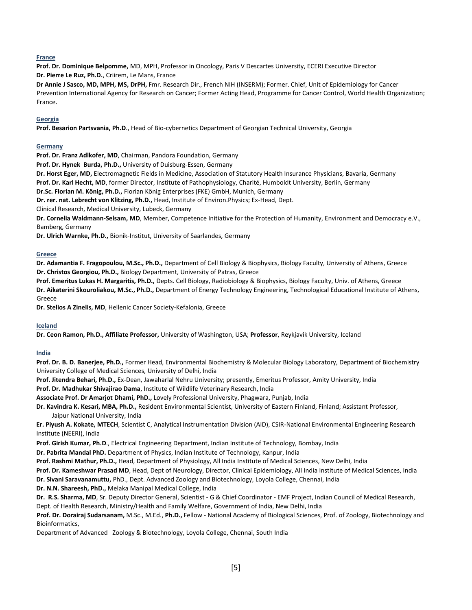#### **France**

**Prof. Dr. Dominique Belpomme,** MD, MPH, Professor in Oncology, Paris V Descartes University, ECERI Executive Director **Dr. Pierre Le Ruz, Ph.D.**, Criirem, Le Mans, France

**Dr Annie J Sasco, MD, MPH, MS, DrPH,** Fmr. Research Dir., French NIH (INSERM); Former. Chief, Unit of Epidemiology for Cancer Prevention International Agency for Research on Cancer; Former Acting Head, Programme for Cancer Control, World Health Organization; France.

#### **Georgia**

**Prof. Besarion Partsvania, Ph.D**., Head of Bio-cybernetics Department of Georgian Technical University, Georgia

#### **Germany**

**Prof. Dr. Franz Adlkofer, MD**, Chairman, Pandora Foundation, Germany

**Prof. Dr. Hynek Burda, Ph.D.,** [University of Duisburg-Essen, G](http://www.researchgate.net/institution/University_of_Duisburg-Essen)ermany

**Dr. Horst Eger, MD,** Electromagnetic Fields in Medicine, Association of Statutory Health Insurance Physicians, Bavaria, Germany

**Prof. Dr. Karl Hecht, MD**, former Director, Institute of Pathophysiology, Charité, Humboldt University, Berlin, Germany

**Dr.Sc. Florian M. König, Ph.D.,** Florian König Enterprises (FKE) GmbH, Munich, Germany

**Dr. rer. nat. Lebrecht von Klitzing, Ph.D.,** Head, Institute of Environ.Physics; Ex-Head, Dept.

Clinical Research, Medical University, Lubeck, Germany

**Dr. Cornelia Waldmann-Selsam, MD**, Member, Competence Initiative for the Protection of Humanity, Environment and Democracy e.V., Bamberg, Germany

**Dr. Ulrich Warnke, Ph.D.,** Bionik-Institut, University of Saarlandes, Germany

#### **Greece**

**Dr. Adamantia F. Fragopoulou, M.Sc., Ph.D.,** Department of Cell Biology & Biophysics, Biology Faculty, University of Athens, Greece **Dr. Christos Georgiou, Ph.D.,** Biology Department, University of Patras, Greece

**Prof. Emeritus Lukas H. Margaritis, Ph.D.,** Depts. Cell Biology, Radiobiology & Biophysics, Biology Faculty, Univ. of Athens, Greece **Dr. Aikaterini Skouroliakou, M.Sc., Ph.D.,** Department of Energy Technology Engineering, Technological Educational Institute of Athens, Greece

**Dr. Stelios A Zinelis, MD**, Hellenic Cancer Society-Kefalonia, Greece

#### **Iceland**

**Dr. Ceon Ramon, Ph.D., Affiliate Professor,** University of Washington, USA; **Professor**, Reykjavik University, Iceland

#### **India**

**Prof. Dr. B. D. Banerjee, Ph.D.,** Former Head, Environmental Biochemistry & Molecular Biology Laboratory, Department of Biochemistry University College of Medical Sciences, University of Delhi, India

**Prof. Jitendra Behari, Ph.D.,** Ex-Dean, Jawaharlal Nehru University; presently, Emeritus Professor, Amity University, India

**Prof. Dr. Madhukar Shivajirao Dama**, Institute of Wildlife Veterinary Research, India

**Associate Prof. Dr Amarjot Dhami, PhD.,** Lovely Professional University, Phagwara, Punjab, India

**Dr. Kavindra K. Kesari, MBA, Ph.D.,** Resident Environmental Scientist, University of Eastern Finland, Finland; Assistant Professor, Jaipur National University, India

**Er. Piyush A. Kokate, MTECH**, Scientist C, Analytical Instrumentation Division (AID), CSIR-National Environmental Engineering Research Institute (NEERI), India

**Prof. Girish Kumar, Ph.D**., Electrical Engineering Department, Indian Institute of Technology, Bombay, India

**Dr. Pabrita Mandal PhD.** Department of Physics, Indian Institute of Technology, Kanpur, India

**Prof. Rashmi Mathur, Ph.D.,** Head, Department of Physiology, All India Institute of Medical Sciences, New Delhi, India

**Prof. Dr. Kameshwar Prasad MD**, Head, Dept of Neurology, Director, Clinical Epidemiology, All India Institute of Medical Sciences, India

**Dr. Sivani Saravanamuttu,** PhD., Dept. Advanced Zoology and Biotechnology, Loyola College, Chennai, India

**Dr. N.N. Shareesh, PhD.,** Melaka Manipal Medical College, India

**Dr. R.S. Sharma, MD**, Sr. Deputy Director General, Scientist - G & Chief Coordinator - EMF Project, Indian Council of Medical Research, Dept. of Health Research, Ministry/Health and Family Welfare, Government of India, New Delhi, India

**Prof. Dr. Dorairaj Sudarsanam,** M.Sc., M.Ed., **Ph.D.,** Fellow - National Academy of Biological Sciences, Prof. of Zoology, Biotechnology and Bioinformatics,

Department of Advanced Zoology & Biotechnology, Loyola College, Chennai, South India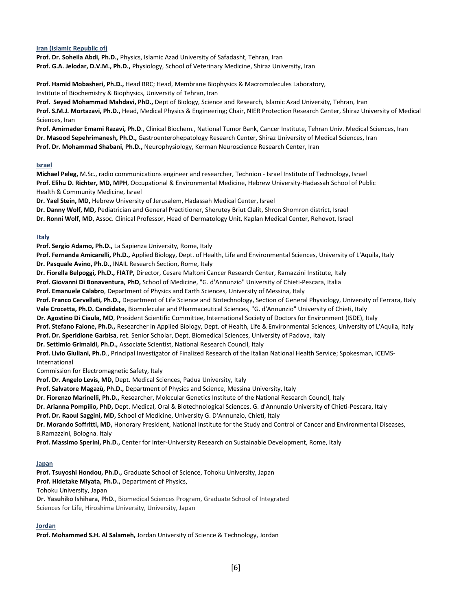#### **Iran (Islamic Republic of)**

**Prof. Dr. Soheila Abdi, Ph.D.,** Physics, Islamic Azad University of Safadasht, Tehran, Iran **Prof. G.A. Jelodar, D.V.M., Ph.D.,** Physiology, School of Veterinary Medicine, Shiraz University, Iran

**Prof. Hamid Mobasheri, Ph.D.,** Head BRC; Head, Membrane Biophysics & Macromolecules Laboratory, Institute of Biochemistry & Biophysics, University of Tehran, Iran

**Prof. Seyed Mohammad Mahdavi, PhD.,** Dept of Biology, Science and Research, Islamic Azad University, Tehran, Iran **Prof. S.M.J. Mortazavi, Ph.D.,** Head, Medical Physics & Engineering; Chair, NIER Protection Research Center, Shiraz University of Medical Sciences, Iran

**Prof. Amirnader Emami Razavi, Ph.D**., Clinical Biochem., National Tumor Bank, Cancer Institute, Tehran Univ. Medical Sciences, Iran **Dr. Masood Sepehrimanesh, Ph.D.,** Gastroenterohepatology Research Center, Shiraz University of Medical Sciences, Iran **Prof. Dr. Mohammad Shabani, Ph.D.,** Neurophysiology, Kerman Neuroscience Research Center, Iran

#### **Israel**

**Michael Peleg,** M.Sc., radio communications engineer and researcher, Technion - Israel Institute of Technology, Israel **Prof. Elihu D. Richter, MD, MPH**, Occupational & Environmental Medicine, Hebrew University-Hadassah School of Public Health & Community Medicine, Israel

**Dr. Yael Stein, MD,** Hebrew University of Jerusalem, Hadassah Medical Center, Israel

**Dr. Danny Wolf, MD,** Pediatrician and General Practitioner, Sherutey Briut Clalit, Shron Shomron district, Israel

**Dr. Ronni Wolf, MD**, Assoc. Clinical Professor, Head of Dermatology Unit, Kaplan Medical Center, Rehovot, Israel

#### **Italy**

**Prof. Sergio Adamo, Ph.D.,** La Sapienza University, Rome, Italy

**Prof. Fernanda Amicarelli, Ph.D.,** Applied Biology, Dept. of Health, Life and Environmental Sciences, University of L'Aquila, Italy **Dr. Pasquale Avino, Ph.D.,** INAIL Research Section, Rome, Italy

**Dr. Fiorella Belpoggi, Ph.D., FIATP,** Director, Cesare Maltoni Cancer Research Center, Ramazzini Institute, Italy

**Prof. Giovanni Di Bonaventura, PhD,** School of Medicine, "G. d'Annunzio" University of Chieti-Pescara, Italia

**Prof. Emanuele Calabro**, Department of Physics and Earth Sciences, University of Messina, Italy

**Prof. Franco Cervellati, Ph.D.,** Department of Life Science and Biotechnology, Section of General Physiology, University of Ferrara, Italy

**Vale Crocetta, Ph.D. Candidate,** Biomolecular and Pharmaceutical Sciences, "G. d'Annunzio" University of Chieti, Italy

**Dr. Agostino Di Ciaula, MD**, President Scientific Committee, International Society of Doctors for Environment (ISDE), Italy **Prof. Stefano Falone, Ph.D.,** Researcher in Applied Biology, Dept. of Health, Life & Environmental Sciences, University of L'Aquila, Italy

**Prof. Dr. Speridione Garbisa**, ret. Senior Scholar, Dept. Biomedical Sciences, University of Padova, Italy

**Dr. Settimio Grimaldi, Ph.D.,** Associate Scientist, National Research Council, Italy

Prof. Livio Giuliani, Ph.D., Principal Investigator of Finalized Research of the Italian National Health Service; Spokesman, ICEMS-International

Commission for Electromagnetic Safety, Italy

**Prof. Dr. Angelo Levis, MD,** Dept. Medical Sciences, Padua University, Italy

**Prof. Salvatore Magazù, Ph.D.,** Department of Physics and Science, Messina University, Italy

**Dr. Fiorenzo Marinelli, Ph.D.,** Researcher, Molecular Genetics Institute of the National Research Council, Italy

**Dr. Arianna Pompilio, PhD,** Dept. Medical, Oral & Biotechnological Sciences. G. d'Annunzio University of Chieti-Pescara, Italy

**Prof. Dr. Raoul Saggini, MD,** School of Medicine, University G. D'Annunzio, Chieti, Italy

**Dr. Morando Soffritti, MD,** Honorary President, National Institute for the Study and Control of Cancer and Environmental Diseases, B.Ramazzini, Bologna. Italy

**Prof. Massimo Sperini, Ph.D.,** Center for Inter-University Research on Sustainable Development, Rome, Italy

#### **Japan**

**Prof. Tsuyoshi Hondou, Ph.D.,** Graduate School of Science, Tohoku University, Japan **Prof. Hidetake Miyata, Ph.D.,** Department of Physics, Tohoku University, Japan

**Dr. Yasuhiko Ishihara, PhD.**, Biomedical Sciences Program, Graduate School of Integrated Sciences for Life, Hiroshima University, University, Japan

#### **Jordan**

**Prof. Mohammed S.H. Al Salameh,** Jordan University of Science & Technology, Jordan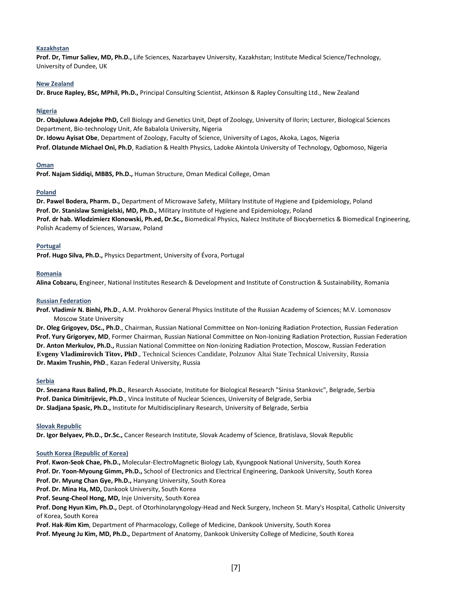#### **Kazakhstan**

**Prof. Dr, Timur Saliev, MD, Ph.D.,** Life Sciences, Nazarbayev University, Kazakhstan; Institute Medical Science/Technology, University of Dundee, UK

#### **New Zealand**

**Dr. Bruce Rapley, BSc, MPhil, Ph.D.,** Principal Consulting Scientist, Atkinson & Rapley Consulting Ltd., New Zealand

#### **Nigeria**

**Dr. Obajuluwa Adejoke PhD,** Cell Biology and Genetics Unit, Dept of Zoology, University of Ilorin; Lecturer, Biological Sciences Department, Bio-technology Unit, Afe Babalola University, Nigeria **Dr. Idowu Ayisat Obe**, Department of Zoology, Faculty of Science, University of Lagos, Akoka, Lagos, Nigeria

**Prof. Olatunde Michael Oni, Ph.D**, Radiation & Health Physics, Ladoke Akintola University of Technology, Ogbomoso, Nigeria

#### **Oman**

**Prof. Najam Siddiqi, MBBS, Ph.D.,** Human Structure, Oman Medical College, Oman

#### **Poland**

**Dr. Pawel Bodera, Pharm. D.,** Department of Microwave Safety, Military Institute of Hygiene and Epidemiology, Poland **Prof. Dr. Stanislaw Szmigielski, MD, Ph.D.,** Military Institute of Hygiene and Epidemiology, Poland **Prof. dr hab. Wlodzimierz Klonowski, Ph.ed, Dr.Sc.,** Biomedical Physics, Nalecz Institute of Biocybernetics & Biomedical Engineering, Polish Academy of Sciences, Warsaw, Poland

#### **Portugal**

**Prof. Hugo Silva, Ph.D.,** Physics Department, University of Évora, Portugal

#### **Romania**

**Alina Cobzaru, E**ngineer, National Institutes Research & Development and Institute of Construction & Sustainability, Romania

#### **Russian Federation**

**Prof. Vladimir N. Binhi, Ph.D**., A.M. Prokhorov General Physics Institute of the Russian Academy of Sciences; M.V. Lomonosov Moscow State University

**Dr. Oleg Grigoyev, DSc., Ph.D**., Chairman, Russian National Committee on Non-Ionizing Radiation Protection, Russian Federation **Prof. Yury Grigoryev, MD**, Former Chairman, Russian National Committee on Non-Ionizing Radiation Protection, Russian Federation **Dr. Anton Merkulov, Ph.D.,** Russian National Committee on Non-Ionizing Radiation Protection, Moscow, Russian Federation **Evgeny Vladimirovich Titov, PhD**., Technical Sciences Candidate, Polzunov Altai State Technical University, Russia **Dr. Maxim Trushin, PhD**., Kazan Federal University, Russia

#### **Serbia**

**Dr. Snezana Raus Balind, Ph.D.**, Research Associate, Institute for Biological Research "Sinisa Stankovic", Belgrade, Serbia **Prof. Danica Dimitrijevic, Ph.D**., Vinca Institute of Nuclear Sciences, University of Belgrade, Serbia **Dr. Sladjana Spasic, Ph.D.,** Institute for Multidisciplinary Research, University of Belgrade, Serbia

#### **Slovak Republic**

**Dr. Igor Belyaev, Ph.D., Dr.Sc.,** Cancer Research Institute, Slovak Academy of Science, Bratislava, Slovak Republic

#### **South Korea (Republic of Korea)**

**Prof. Kwon-Seok Chae, Ph.D.,** Molecular-ElectroMagnetic Biology Lab, Kyungpook National University, South Korea

**Prof. Dr. Yoon-Myoung Gimm, Ph.D.,** School of Electronics and Electrical Engineering, Dankook University, South Korea

**Prof. Dr. Myung Chan Gye, Ph.D.,** Hanyang University, South Korea

**Prof. Dr. Mina Ha, MD,** Dankook University, South Korea

**Prof. Seung-Cheol Hong, MD,** Inje University, South Korea

**Prof. Dong Hyun Kim, Ph.D.,** Dept. of Otorhinolaryngology-Head and Neck Surgery, Incheon St. Mary's Hospital, Catholic University of Korea, South Korea

**Prof. Hak**-**Rim Kim**, Department of Pharmacology, College of Medicine, Dankook University, South Korea

**Prof. Myeung Ju Kim, MD, Ph.D.,** Department of Anatomy, Dankook University College of Medicine, South Korea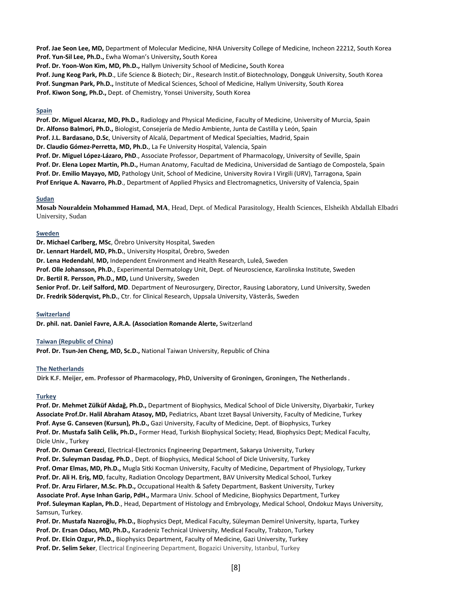**Prof. Jae Seon Lee, MD,** Department of Molecular Medicine, NHA University College of Medicine, Incheon 22212, South Korea **Prof. Yun-Sil Lee, Ph.D.,** Ewha Woman's University**,** South Korea

**Prof. Dr. Yoon-Won Kim, MD, Ph.D.,** Hallym University School of Medicine**,** South Korea

**Prof. Jung Keog Park, Ph.D**., Life Science & Biotech; Dir., Research Instit.of Biotechnology, Dongguk University, South Korea

**Prof. Sungman Park, Ph.D.,** Institute of Medical Sciences, School of Medicine, Hallym University, South Korea

**Prof. Kiwon Song, Ph.D.,** Dept. of Chemistry, Yonsei University, South Korea

#### **Spain**

**Prof. Dr. Miguel Alcaraz, MD, Ph.D.,** Radiology and Physical Medicine, Faculty of Medicine, University of Murcia, Spain **Dr. Alfonso Balmori, Ph.D.,** Biologist, Consejería de Medio Ambiente, Junta de Castilla y León, Spain **Prof. J.L. Bardasano, D.Sc**, University of Alcalá, Department of Medical Specialties, Madrid, Spain **Dr. Claudio Gómez-Perretta, MD, Ph.D.**, La Fe University Hospital, Valencia, Spain **Prof. Dr. Miguel López-Lázaro, PhD**., Associate Professor, Department of Pharmacology, University of Seville, Spain **Prof. Dr. Elena Lopez Martin, Ph.D.,** Human Anatomy, Facultad de Medicina, Universidad de Santiago de Compostela, Spain **Prof. Dr. Emilio Mayayo, MD,** Pathology Unit, School of Medicine, University Rovira I Virgili (URV), Tarragona, Spain **Prof Enrique A. Navarro, Ph.D**., Department of Applied Physics and Electromagnetics, University of Valencia, Spain

#### **Sudan**

**Mosab Nouraldein Mohammed Hamad, MA**, Head, Dept. of Medical Parasitology, Health Sciences, Elsheikh Abdallah Elbadri University, Sudan

#### **Sweden**

**Dr. Michael Carlberg, MSc**, Örebro University Hospital, Sweden **Dr. Lennart Hardell, MD, Ph.D.**, University Hospital, Örebro, Sweden **Dr. Lena Hedendahl**, **MD,** Independent Environment and Health Research, Luleå, Sweden **Prof. Olle Johansson, Ph.D.**, Experimental Dermatology Unit, Dept. of Neuroscience, Karolinska Institute, Sweden **Dr. Bertil R. Persson, Ph.D., MD,** Lund University, Sweden **Senior Prof. Dr. Leif Salford, MD**. Department of Neurosurgery, Director, Rausing Laboratory, Lund University, Sweden **Dr. Fredrik Söderqvist, Ph.D.**, Ctr. for Clinical Research, Uppsala University, Västerås, Sweden

**Switzerland**

**Dr. phil. nat. Daniel Favre, A.R.A. (Association Romande Alerte,** Switzerland

#### **Taiwan (Republic of China)**

**Prof. Dr. Tsun-Jen Cheng, MD, Sc.D.,** National Taiwan University, Republic of China

#### **The Netherlands**

**Dirk K.F. Meijer, em. Professor of Pharmacology, PhD, University of Groningen, Groningen, The Netherlands**.

#### **Turkey**

**Prof. Dr. Mehmet Zülküf Akdağ, Ph.D.,** Department of Biophysics, Medical School of Dicle University, Diyarbakir, Turkey **Associate Prof.Dr. Halil Abraham Atasoy, MD,** Pediatrics, Abant Izzet Baysal University, Faculty of Medicine, Turkey **Prof. Ayse G. Canseven (Kursun), Ph.D.,** Gazi University, Faculty of Medicine, Dept. of Biophysics, Turkey **Prof. Dr. Mustafa Salih Celik, Ph.D.,** Former Head, Turkish Biophysical Society; Head, Biophysics Dept; Medical Faculty, Dicle Univ., Turkey

**Prof. Dr. Osman Cerezci**, Electrical-Electronics Engineering Department, Sakarya University, Turkey

**Prof. Dr. Suleyman Dasdag, Ph.D**., Dept. of Biophysics, Medical School of Dicle University, Turkey

**Prof. Omar Elmas, MD, Ph.D.,** Mugla Sitki Kocman University, Faculty of Medicine, Department of Physiology, Turkey

**Prof. Dr. Ali H. Eriş, MD**, faculty, Radiation Oncology Department, BAV University Medical School, Turkey

**Prof. Dr. Arzu Firlarer, M.Sc. Ph.D.,** Occupational Health & Safety Department, Baskent University, Turkey

**Associate Prof. Ayse Inhan Garip, PdH.,** Marmara Univ. School of Medicine, Biophysics Department, Turkey

**Prof. Suleyman Kaplan, Ph.D**., Head, Department of Histology and Embryology, Medical School, Ondokuz Mayıs University, Samsun, Turkey.

**Prof. Dr. Mustafa Nazıroğlu, Ph.D.,** Biophysics Dept, Medical Faculty, Süleyman Demirel University, Isparta, Turkey

**Prof. Dr. Ersan Odacı, MD, Ph.D.,** Karadeniz Technical University, Medical Faculty, Trabzon, Turkey

**Prof. Dr. Elcin Ozgur, Ph.D.,** Biophysics Department, Faculty of Medicine, Gazi University, Turkey

**Prof. Dr. Selim Seker**, Electrical Engineering Department, Bogazici University, Istanbul, Turkey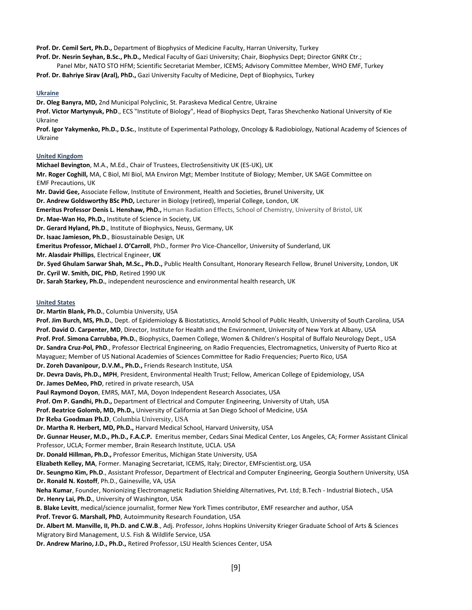**Prof. Dr. Cemil Sert, Ph.D.,** Department of Biophysics of Medicine Faculty, Harran University, Turkey

**Prof. Dr. Nesrin Seyhan, B.Sc., Ph.D.,** Medical Faculty of Gazi University; Chair, Biophysics Dept; Director GNRK Ctr.;

Panel Mbr, NATO STO HFM; Scientific Secretariat Member, ICEMS; Advisory Committee Member, WHO EMF, Turkey

**Prof. Dr. Bahriye Sirav (Aral), PhD.,** Gazi University Faculty of Medicine, Dept of Biophysics, Turkey

#### **Ukraine**

**Dr. Oleg Banyra, MD,** 2nd Municipal Polyclinic, St. Paraskeva Medical Centre, Ukraine

**Prof. Victor Martynyuk, PhD**., ECS "Institute of Biology", Head of Biophysics Dept, Taras Shevchenko National University of Kie Ukraine

**Prof. Igor Yakymenko, Ph.D., D.Sc.**, Institute of Experimental Pathology, Oncology & Radiobiology, National Academy of Sciences of Ukraine

#### **United Kingdom**

**Michael Bevington**, M.A., M.Ed., Chair of Trustees, ElectroSensitivity UK (ES-UK), UK

**Mr. Roger Coghill,** MA, C Biol, MI Biol, MA Environ Mgt; Member Institute of Biology; Member, UK SAGE Committee on EMF Precautions, UK

**Mr. David Gee,** Associate Fellow, Institute of Environment, Health and Societies, Brunel University, UK

**Dr. Andrew Goldsworthy BSc PhD,** Lecturer in Biology (retired), Imperial College, London, UK

**Emeritus Professor Denis L. Henshaw, PhD.,** Human Radiation Effects, School of Chemistry, University of Bristol, UK

**Dr. Mae-Wan Ho, Ph.D.,** Institute of Science in Society, UK

**Dr. Gerard Hyland, Ph.D**., Institute of Biophysics, Neuss, Germany, UK

**Dr. Isaac Jamieson, Ph.D**., Biosustainable Design, UK

**Emeritus Professor, Michael J. O'Carroll**, PhD., former Pro Vice-Chancellor, University of Sunderland, UK

**Mr. Alasdair Phillips**, Electrical Engineer, **UK** 

**Dr. Syed Ghulam Sarwar Shah, M.Sc., Ph.D.,** Public Health Consultant, Honorary Research Fellow, Brunel University, London, UK

**Dr. Cyril W. Smith, DIC, PhD**, Retired 1990 UK

**Dr. Sarah Starkey, Ph.D.**, independent neuroscience and environmental health research, UK

#### **United States**

**Dr. Martin Blank, Ph.D.**, Columbia University, USA

**Prof. Jim Burch, MS, Ph.D.**, Dept. of Epidemiology & Biostatistics, Arnold School of Public Health, University of South Carolina, USA **Prof. David O. Carpenter, MD**, Director, Institute for Health and the Environment, University of New York at Albany, USA **Prof. Prof. Simona Carrubba, Ph.D.**, Biophysics, Daemen College, Women & Children's Hospital of Buffalo Neurology Dept., USA **Dr. Sandra Cruz-Pol, PhD**., Professor Electrical Engineering, on Radio Frequencies, Electromagnetics, University of Puerto Rico at Mayaguez; Member of US National Academies of Sciences Committee for Radio Frequencies; Puerto Rico, USA **Dr. Zoreh Davanipour, D.V.M., Ph.D.,** Friends Research Institute, USA **Dr. Devra Davis, Ph.D., MPH**, President, Environmental Health Trust; Fellow, American College of Epidemiology, USA **Dr. James DeMeo, PhD**, retired in private research, USA **Paul Raymond Doyon**, EMRS, MAT, MA, Doyon Independent Research Associates, USA **Prof. Om P. Gandhi, Ph.D.,** Department of Electrical and Computer Engineering, University of Utah, USA **Prof. Beatrice Golomb, MD, Ph.D.,** University of California at San Diego School of Medicine, USA **Dr Reba Goodman Ph.D**, Columbia University, USA **Dr. Martha R. Herbert, MD, Ph.D.,** Harvard Medical School, Harvard University, USA **Dr. Gunnar Heuser, M.D., Ph.D., F.A.C.P.** Emeritus member, Cedars Sinai Medical Center, Los Angeles, CA; Former Assistant Clinical Professor, UCLA; Former member, Brain Research Institute, UCLA. USA **Dr. Donald Hillman, Ph.D.,** Professor Emeritus, Michigan State University, USA **Elizabeth Kelley, MA**, Former. Managing Secretariat, ICEMS, Italy; Director, EMFscientist.org, USA **Dr. Seungmo Kim, Ph.D**., Assistant Professor, Department of Electrical and Computer Engineering, Georgia Southern University, USA **Dr. Ronald N. Kostoff**, Ph.D., Gainesville, VA, USA **Neha Kumar**, Founder, Nonionizing Electromagnetic Radiation Shielding Alternatives, Pvt. Ltd; B.Tech - Industrial Biotech., USA **Dr. Henry Lai, Ph.D.**, University of Washington, USA **B. Blake Levitt**, medical/science journalist, former New York Times contributor, EMF researcher and author, USA **Prof. Trevor G. Marshall, PhD**, Autoimmunity Research Foundation, USA **Dr. Albert M. Manville, II, Ph.D. and C.W.B**., Adj. Professor, Johns Hopkins University Krieger Graduate School of Arts & Sciences Migratory Bird Management, U.S. Fish & Wildlife Service, USA **Dr. Andrew Marino, J.D., Ph.D.,** Retired Professor, LSU Health Sciences Center, USA